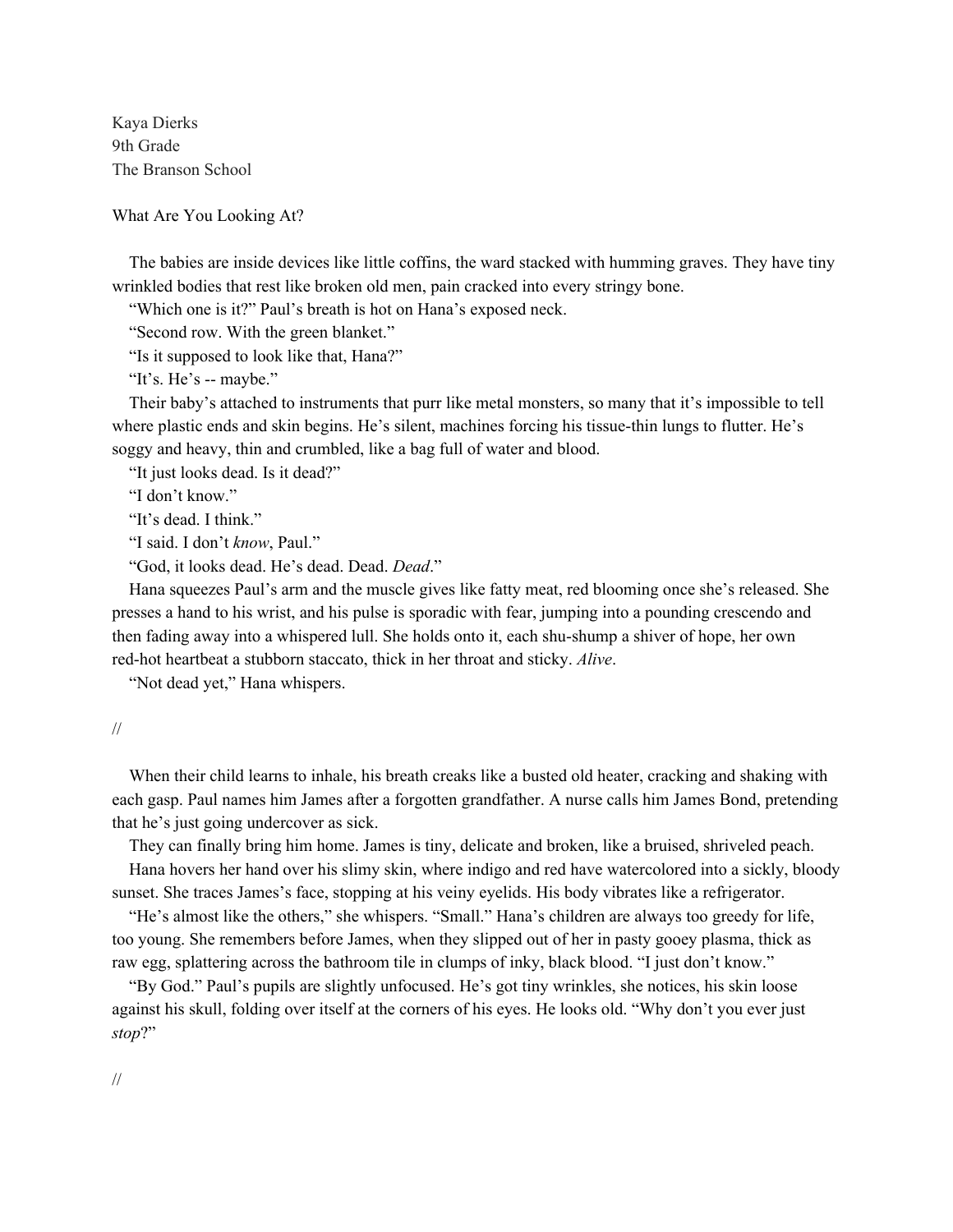Kaya Dierks 9th Grade The Branson School

What Are You Looking At?

 The babies are inside devices like little coffins, the ward stacked with humming graves. They have tiny wrinkled bodies that rest like broken old men, pain cracked into every stringy bone.

"Which one is it?" Paul's breath is hot on Hana's exposed neck.

"Second row. With the green blanket."

"Is it supposed to look like that, Hana?"

"It's. He's -- maybe."

 Their baby's attached to instruments that purr like metal monsters, so many that it's impossible to tell where plastic ends and skin begins. He's silent, machines forcing his tissue-thin lungs to flutter. He's soggy and heavy, thin and crumbled, like a bag full of water and blood.

"It just looks dead. Is it dead?"

"I don't know."

"It's dead. I think."

"I said. I don't *know*, Paul."

"God, it looks dead. He's dead. Dead. *Dead*."

 Hana squeezes Paul's arm and the muscle gives like fatty meat, red blooming once she's released. She presses a hand to his wrist, and his pulse is sporadic with fear, jumping into a pounding crescendo and then fading away into a whispered lull. She holds onto it, each shu-shump a shiver of hope, her own red-hot heartbeat a stubborn staccato, thick in her throat and sticky. *Alive*.

"Not dead yet," Hana whispers.

//

 When their child learns to inhale, his breath creaks like a busted old heater, cracking and shaking with each gasp. Paul names him James after a forgotten grandfather. A nurse calls him James Bond, pretending that he's just going undercover as sick.

They can finally bring him home. James is tiny, delicate and broken, like a bruised, shriveled peach.

 Hana hovers her hand over his slimy skin, where indigo and red have watercolored into a sickly, bloody sunset. She traces James's face, stopping at his veiny eyelids. His body vibrates like a refrigerator.

 "He's almost like the others," she whispers. "Small." Hana's children are always too greedy for life, too young. She remembers before James, when they slipped out of her in pasty gooey plasma, thick as raw egg, splattering across the bathroom tile in clumps of inky, black blood. "I just don't know."

 "By God." Paul's pupils are slightly unfocused. He's got tiny wrinkles, she notices, his skin loose against his skull, folding over itself at the corners of his eyes. He looks old. "Why don't you ever just *stop*?"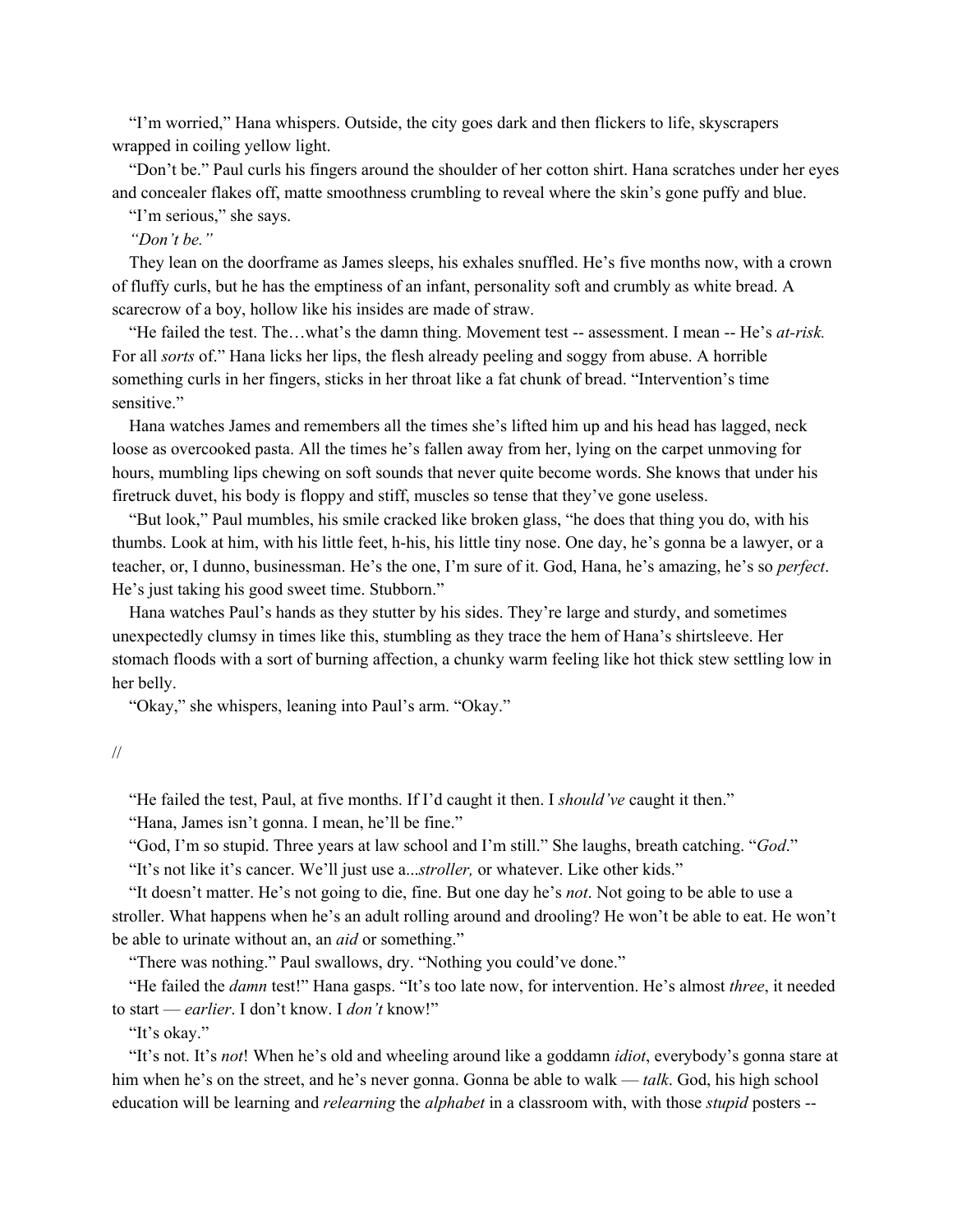"I'm worried," Hana whispers. Outside, the city goes dark and then flickers to life, skyscrapers wrapped in coiling yellow light.

 "Don't be." Paul curls his fingers around the shoulder of her cotton shirt. Hana scratches under her eyes and concealer flakes off, matte smoothness crumbling to reveal where the skin's gone puffy and blue.

"I'm serious," she says.

 *"Don't be."* 

 They lean on the doorframe as James sleeps, his exhales snuffled. He's five months now, with a crown of fluffy curls, but he has the emptiness of an infant, personality soft and crumbly as white bread. A scarecrow of a boy, hollow like his insides are made of straw.

 "He failed the test. The…what's the damn thing. Movement test -- assessment. I mean -- He's *at-risk.* For all *sorts* of." Hana licks her lips, the flesh already peeling and soggy from abuse. A horrible something curls in her fingers, sticks in her throat like a fat chunk of bread. "Intervention's time sensitive."

 Hana watches James and remembers all the times she's lifted him up and his head has lagged, neck loose as overcooked pasta. All the times he's fallen away from her, lying on the carpet unmoving for hours, mumbling lips chewing on soft sounds that never quite become words. She knows that under his firetruck duvet, his body is floppy and stiff, muscles so tense that they've gone useless.

 "But look," Paul mumbles, his smile cracked like broken glass, "he does that thing you do, with his thumbs. Look at him, with his little feet, h-his, his little tiny nose. One day, he's gonna be a lawyer, or a teacher, or, I dunno, businessman. He's the one, I'm sure of it. God, Hana, he's amazing, he's so *perfect*. He's just taking his good sweet time. Stubborn."

 Hana watches Paul's hands as they stutter by his sides. They're large and sturdy, and sometimes unexpectedly clumsy in times like this, stumbling as they trace the hem of Hana's shirtsleeve. Her stomach floods with a sort of burning affection, a chunky warm feeling like hot thick stew settling low in her belly.

"Okay," she whispers, leaning into Paul's arm. "Okay."

"He failed the test, Paul, at five months. If I'd caught it then. I *should've* caught it then."

"Hana, James isn't gonna. I mean, he'll be fine."

"God, I'm so stupid. Three years at law school and I'm still." She laughs, breath catching. "*God*."

"It's not like it's cancer. We'll just use a...*stroller,* or whatever. Like other kids."

 "It doesn't matter. He's not going to die, fine. But one day he's *not*. Not going to be able to use a stroller. What happens when he's an adult rolling around and drooling? He won't be able to eat. He won't be able to urinate without an, an *aid* or something."

"There was nothing." Paul swallows, dry. "Nothing you could've done."

 "He failed the *damn* test!" Hana gasps. "It's too late now, for intervention. He's almost *three*, it needed to start — *earlier*. I don't know. I *don't* know!"

"It's okay."

 "It's not. It's *not*! When he's old and wheeling around like a goddamn *idiot*, everybody's gonna stare at him when he's on the street, and he's never gonna. Gonna be able to walk — *talk*. God, his high school education will be learning and *relearning* the *alphabet* in a classroom with, with those *stupid* posters --

<sup>//</sup>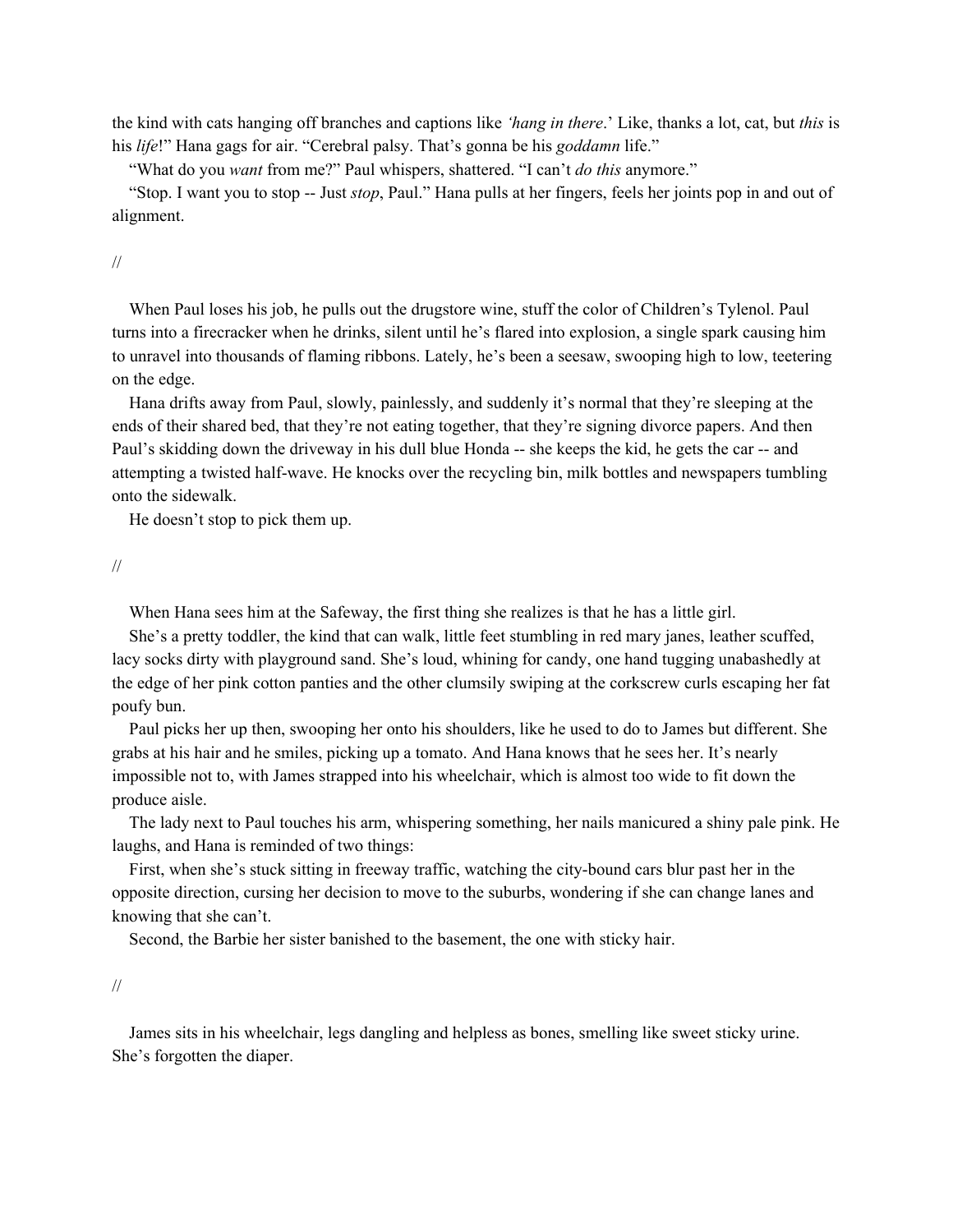the kind with cats hanging off branches and captions like *'hang in there*.' Like, thanks a lot, cat, but *this* is his *life*!" Hana gags for air. "Cerebral palsy. That's gonna be his *goddamn* life."

"What do you *want* from me?" Paul whispers, shattered. "I can't *do this* anymore."

 "Stop. I want you to stop -- Just *stop*, Paul." Hana pulls at her fingers, feels her joints pop in and out of alignment.

//

 When Paul loses his job, he pulls out the drugstore wine, stuff the color of Children's Tylenol. Paul turns into a firecracker when he drinks, silent until he's flared into explosion, a single spark causing him to unravel into thousands of flaming ribbons. Lately, he's been a seesaw, swooping high to low, teetering on the edge.

 Hana drifts away from Paul, slowly, painlessly, and suddenly it's normal that they're sleeping at the ends of their shared bed, that they're not eating together, that they're signing divorce papers. And then Paul's skidding down the driveway in his dull blue Honda -- she keeps the kid, he gets the car -- and attempting a twisted half-wave. He knocks over the recycling bin, milk bottles and newspapers tumbling onto the sidewalk.

He doesn't stop to pick them up.

//

When Hana sees him at the Safeway, the first thing she realizes is that he has a little girl.

 She's a pretty toddler, the kind that can walk, little feet stumbling in red mary janes, leather scuffed, lacy socks dirty with playground sand. She's loud, whining for candy, one hand tugging unabashedly at the edge of her pink cotton panties and the other clumsily swiping at the corkscrew curls escaping her fat poufy bun.

 Paul picks her up then, swooping her onto his shoulders, like he used to do to James but different. She grabs at his hair and he smiles, picking up a tomato. And Hana knows that he sees her. It's nearly impossible not to, with James strapped into his wheelchair, which is almost too wide to fit down the produce aisle.

 The lady next to Paul touches his arm, whispering something, her nails manicured a shiny pale pink. He laughs, and Hana is reminded of two things:

 First, when she's stuck sitting in freeway traffic, watching the city-bound cars blur past her in the opposite direction, cursing her decision to move to the suburbs, wondering if she can change lanes and knowing that she can't.

Second, the Barbie her sister banished to the basement, the one with sticky hair.

//

 James sits in his wheelchair, legs dangling and helpless as bones, smelling like sweet sticky urine. She's forgotten the diaper.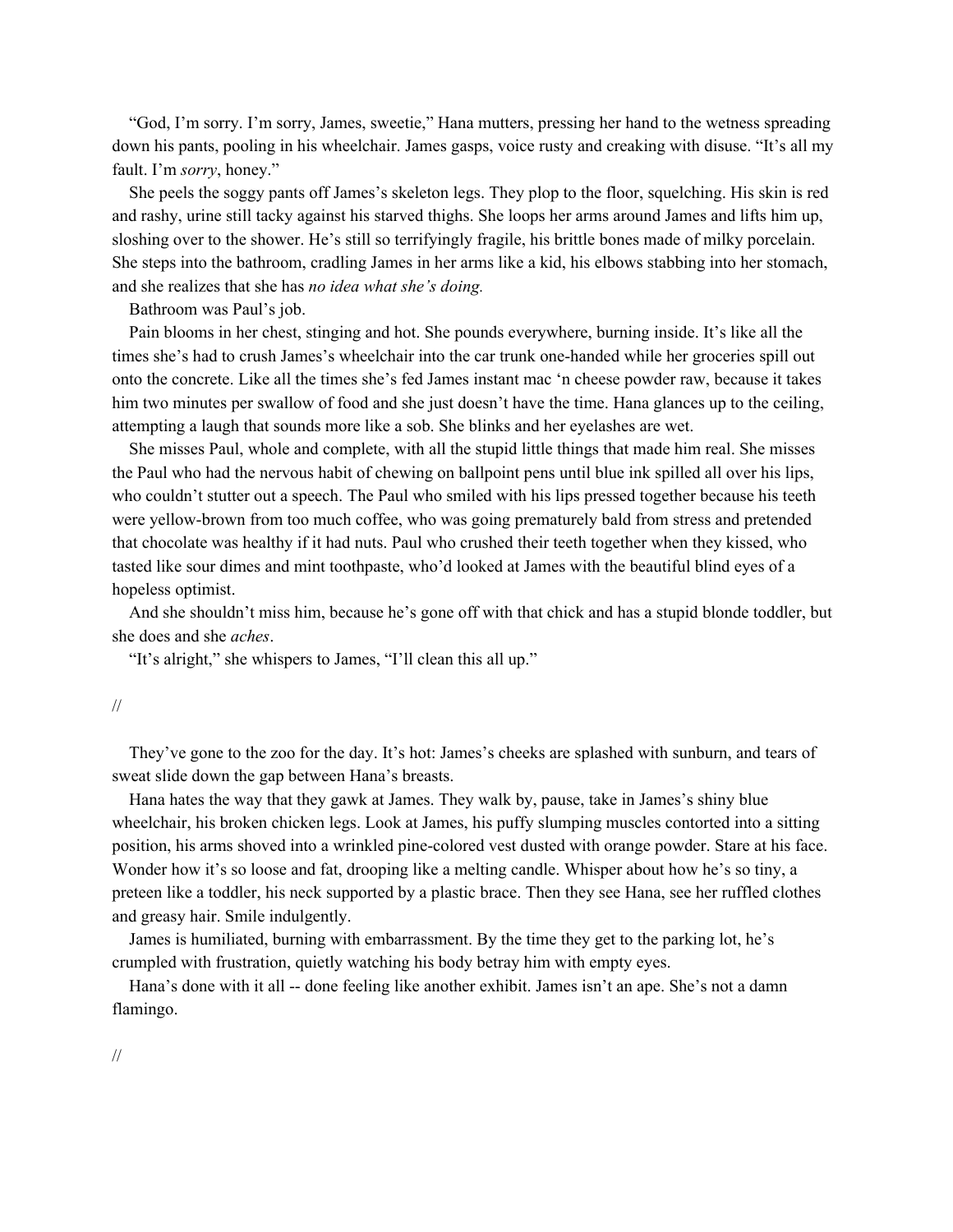"God, I'm sorry. I'm sorry, James, sweetie," Hana mutters, pressing her hand to the wetness spreading down his pants, pooling in his wheelchair. James gasps, voice rusty and creaking with disuse. "It's all my fault. I'm *sorry*, honey."

 She peels the soggy pants off James's skeleton legs. They plop to the floor, squelching. His skin is red and rashy, urine still tacky against his starved thighs. She loops her arms around James and lifts him up, sloshing over to the shower. He's still so terrifyingly fragile, his brittle bones made of milky porcelain. She steps into the bathroom, cradling James in her arms like a kid, his elbows stabbing into her stomach, and she realizes that she has *no idea what she's doing.* 

Bathroom was Paul's job.

 Pain blooms in her chest, stinging and hot. She pounds everywhere, burning inside. It's like all the times she's had to crush James's wheelchair into the car trunk one-handed while her groceries spill out onto the concrete. Like all the times she's fed James instant mac 'n cheese powder raw, because it takes him two minutes per swallow of food and she just doesn't have the time. Hana glances up to the ceiling, attempting a laugh that sounds more like a sob. She blinks and her eyelashes are wet.

 She misses Paul, whole and complete, with all the stupid little things that made him real. She misses the Paul who had the nervous habit of chewing on ballpoint pens until blue ink spilled all over his lips, who couldn't stutter out a speech. The Paul who smiled with his lips pressed together because his teeth were yellow-brown from too much coffee, who was going prematurely bald from stress and pretended that chocolate was healthy if it had nuts. Paul who crushed their teeth together when they kissed, who tasted like sour dimes and mint toothpaste, who'd looked at James with the beautiful blind eyes of a hopeless optimist.

 And she shouldn't miss him, because he's gone off with that chick and has a stupid blonde toddler, but she does and she *aches*.

"It's alright," she whispers to James, "I'll clean this all up."

## //

 They've gone to the zoo for the day. It's hot: James's cheeks are splashed with sunburn, and tears of sweat slide down the gap between Hana's breasts.

 Hana hates the way that they gawk at James. They walk by, pause, take in James's shiny blue wheelchair, his broken chicken legs. Look at James, his puffy slumping muscles contorted into a sitting position, his arms shoved into a wrinkled pine-colored vest dusted with orange powder. Stare at his face. Wonder how it's so loose and fat, drooping like a melting candle. Whisper about how he's so tiny, a preteen like a toddler, his neck supported by a plastic brace. Then they see Hana, see her ruffled clothes and greasy hair. Smile indulgently.

 James is humiliated, burning with embarrassment. By the time they get to the parking lot, he's crumpled with frustration, quietly watching his body betray him with empty eyes.

 Hana's done with it all -- done feeling like another exhibit. James isn't an ape. She's not a damn flamingo.